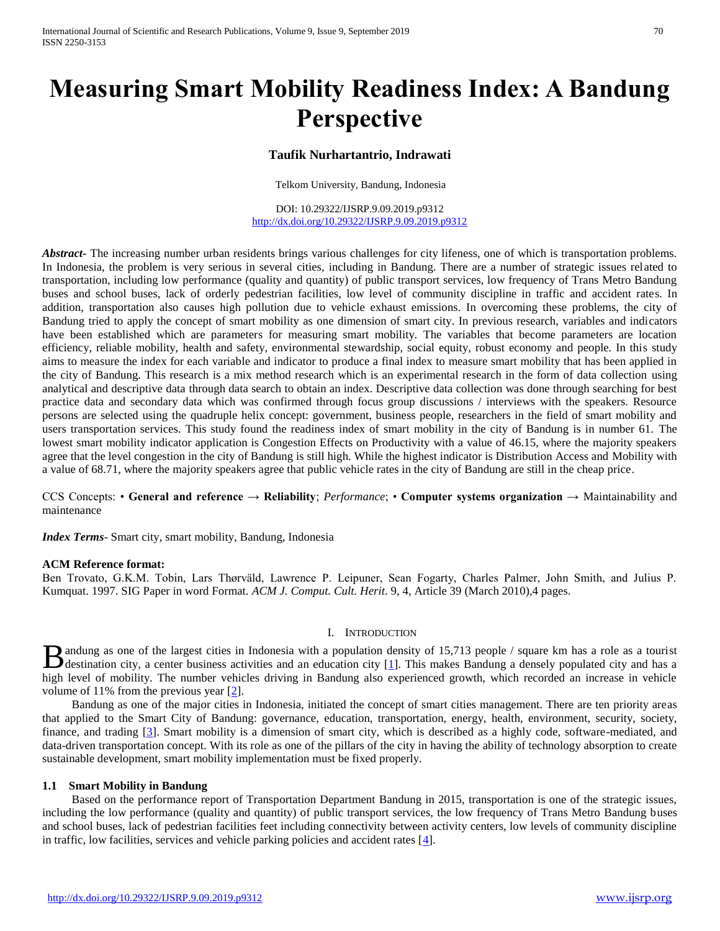# **Measuring Smart Mobility Readiness Index: A Bandung Perspective**

## **Taufik Nurhartantrio, Indrawati**

Telkom University, Bandung, Indonesia

DOI: 10.29322/IJSRP.9.09.2019.p9312 <http://dx.doi.org/10.29322/IJSRP.9.09.2019.p9312>

*Abstract* The increasing number urban residents brings various challenges for city lifeness, one of which is transportation problems. In Indonesia, the problem is very serious in several cities, including in Bandung. There are a number of strategic issues related to transportation, including low performance (quality and quantity) of public transport services, low frequency of Trans Metro Bandung buses and school buses, lack of orderly pedestrian facilities, low level of community discipline in traffic and accident rates. In addition, transportation also causes high pollution due to vehicle exhaust emissions. In overcoming these problems, the city of Bandung tried to apply the concept of smart mobility as one dimension of smart city. In previous research, variables and indicators have been established which are parameters for measuring smart mobility. The variables that become parameters are location efficiency, reliable mobility, health and safety, environmental stewardship, social equity, robust economy and people. In this study aims to measure the index for each variable and indicator to produce a final index to measure smart mobility that has been applied in the city of Bandung. This research is a mix method research which is an experimental research in the form of data collection using analytical and descriptive data through data search to obtain an index. Descriptive data collection was done through searching for best practice data and secondary data which was confirmed through focus group discussions / interviews with the speakers. Resource persons are selected using the quadruple helix concept: government, business people, researchers in the field of smart mobility and users transportation services. This study found the readiness index of smart mobility in the city of Bandung is in number 61. The lowest smart mobility indicator application is Congestion Effects on Productivity with a value of 46.15, where the majority speakers agree that the level congestion in the city of Bandung is still high. While the highest indicator is Distribution Access and Mobility with a value of 68.71, where the majority speakers agree that public vehicle rates in the city of Bandung are still in the cheap price.

## CCS Concepts: • **General and reference → Reliability**; *Performance*; • **Computer systems organization →** Maintainability and maintenance

*Index Terms*- Smart city, smart mobility, Bandung, Indonesia

#### **ACM Reference format:**

Ben Trovato, G.K.M. Tobin, Lars Thørväld, Lawrence P. Leipuner, Sean Fogarty, Charles Palmer, John Smith, and Julius P. Kumquat. 1997. SIG Paper in word Format. *ACM J. Comput. Cult. Herit*. 9, 4, Article 39 (March 2010),4 pages.

#### I. INTRODUCTION

andung as one of the largest cities in Indonesia with a population density of 15,713 people / square km has a role as a tourist **destination city, a center business activities and an education city [1].** This makes Bandung a densely populated city and has a  $\frac{1}{1}$ . high level of mobility. The number vehicles driving in Bandung also experienced growth, which recorded an increase in vehicle volume of 11% from the previous year  $[2]$ .

 Bandung as one of the major cities in Indonesia, initiated the concept of smart cities management. There are ten priority areas that applied to the Smart City of Bandung: governance, education, transportation, energy, health, environment, security, society, finance, and trading [3]. Smart mobility is a dimension of smart city, which is described as a highly code, software-mediated, and data-driven transportation concept. With its role as one of the pillars of the city in having the ability of technology absorption to create sustainable development, smart mobility implementation must be fixed properly.

#### **1.1 Smart Mobility in Bandung**

 Based on the performance report of Transportation Department Bandung in 2015, transportation is one of the strategic issues, including the low performance (quality and quantity) of public transport services, the low frequency of Trans Metro Bandung buses and school buses, lack of pedestrian facilities feet including connectivity between activity centers, low levels of community discipline in traffic, low facilities, services and vehicle parking policies and accident rates [4].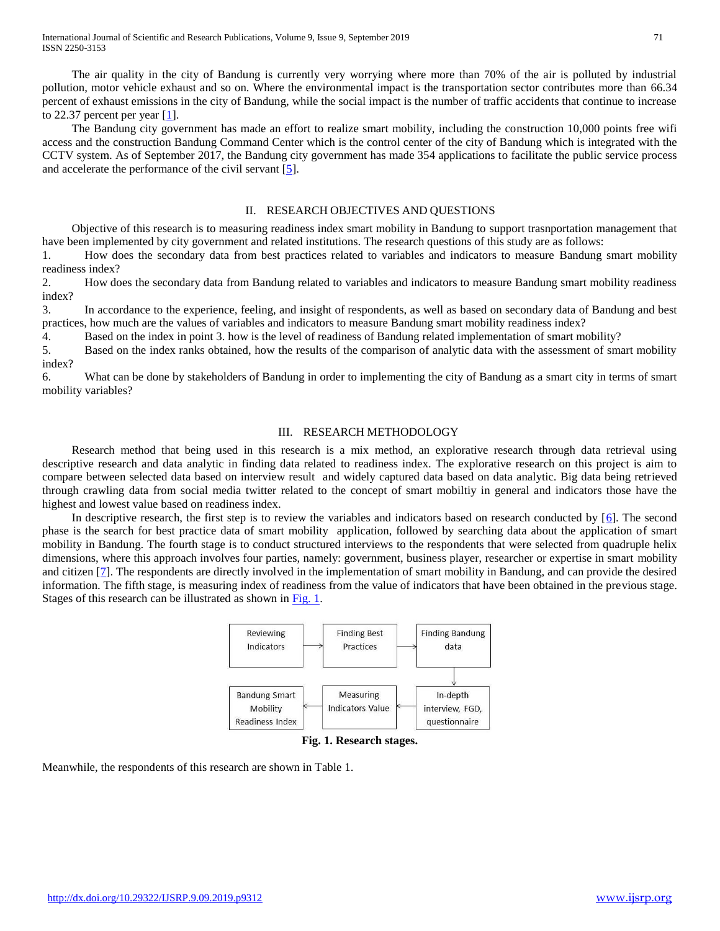The air quality in the city of Bandung is currently very worrying where more than 70% of the air is polluted by industrial pollution, motor vehicle exhaust and so on. Where the environmental impact is the transportation sector contributes more than 66.34 percent of exhaust emissions in the city of Bandung, while the social impact is the number of traffic accidents that continue to increase to 22.37 percent per year [1].

 The Bandung city government has made an effort to realize smart mobility, including the construction 10,000 points free wifi access and the construction Bandung Command Center which is the control center of the city of Bandung which is integrated with the CCTV system. As of September 2017, the Bandung city government has made 354 applications to facilitate the public service process and accelerate the performance of the civil servant [5].

## II. RESEARCH OBJECTIVES AND QUESTIONS

 Objective of this research is to measuring readiness index smart mobility in Bandung to support trasnportation management that have been implemented by city government and related institutions. The research questions of this study are as follows:

1. How does the secondary data from best practices related to variables and indicators to measure Bandung smart mobility readiness index?

2. How does the secondary data from Bandung related to variables and indicators to measure Bandung smart mobility readiness index?

3. In accordance to the experience, feeling, and insight of respondents, as well as based on secondary data of Bandung and best practices, how much are the values of variables and indicators to measure Bandung smart mobility readiness index?

4. Based on the index in point 3. how is the level of readiness of Bandung related implementation of smart mobility?

5. Based on the index ranks obtained, how the results of the comparison of analytic data with the assessment of smart mobility index?

6. What can be done by stakeholders of Bandung in order to implementing the city of Bandung as a smart city in terms of smart mobility variables?

### III. RESEARCH METHODOLOGY

 Research method that being used in this research is a mix method, an explorative research through data retrieval using descriptive research and data analytic in finding data related to readiness index. The explorative research on this project is aim to compare between selected data based on interview result and widely captured data based on data analytic. Big data being retrieved through crawling data from social media twitter related to the concept of smart mobiltiy in general and indicators those have the highest and lowest value based on readiness index.

In descriptive research, the first step is to review the variables and indicators based on research conducted by [6]. The second phase is the search for best practice data of smart mobility application, followed by searching data about the application of smart mobility in Bandung. The fourth stage is to conduct structured interviews to the respondents that were selected from quadruple helix dimensions, where this approach involves four parties, namely: government, business player, researcher or expertise in smart mobility and citizen [7]. The respondents are directly involved in the implementation of smart mobility in Bandung, and can provide the desired information. The fifth stage, is measuring index of readiness from the value of indicators that have been obtained in the previous stage. Stages of this research can be illustrated as shown i[n Fig. 1.](file:///C:/Users/Taufik%20NHT/Downloads/Gambar/Slide1.JPG)



**Fig. 1. Research stages.**

Meanwhile, the respondents of this research are shown in Table 1.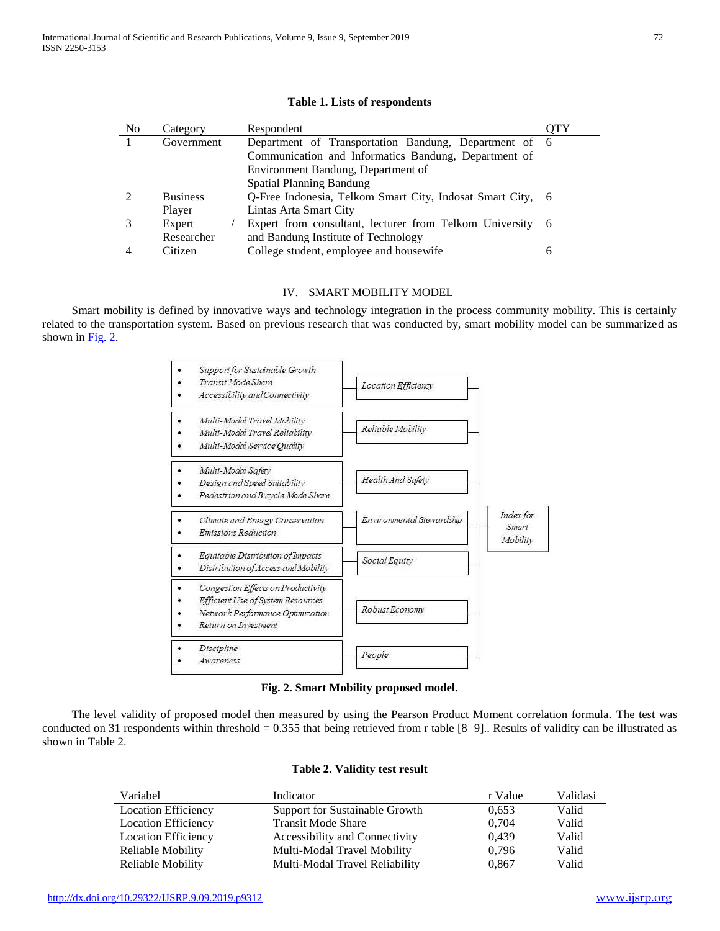| N <sub>0</sub> |                 | Respondent                                                 | OTY |
|----------------|-----------------|------------------------------------------------------------|-----|
|                | Category        |                                                            |     |
|                | Government      | Department of Transportation Bandung, Department of 6      |     |
|                |                 | Communication and Informatics Bandung, Department of       |     |
|                |                 | Environment Bandung, Department of                         |     |
|                |                 | <b>Spatial Planning Bandung</b>                            |     |
|                | <b>Business</b> | O-Free Indonesia, Telkom Smart City, Indosat Smart City, 6 |     |
|                | Player          | Lintas Arta Smart City                                     |     |
|                | Expert          | Expert from consultant, lecturer from Telkom University 6  |     |
|                | Researcher      | and Bandung Institute of Technology                        |     |
|                | Citizen         | College student, employee and housewife                    | 6   |
|                |                 |                                                            |     |

#### **Table 1. Lists of respondents**

## IV. SMART MOBILITY MODEL

 Smart mobility is defined by innovative ways and technology integration in the process community mobility. This is certainly related to the transportation system. Based on previous research that was conducted by, smart mobility model can be summarized as shown in [Fig. 2.](file:///C:/Users/Taufik%20NHT/Downloads/Gambar/Slide2.JPG)



**Fig. 2. Smart Mobility proposed model.**

 The level validity of proposed model then measured by using the Pearson Product Moment correlation formula. The test was conducted on 31 respondents within threshold = 0.355 that being retrieved from r table  $[8-9]$ . Results of validity can be illustrated as shown in Table 2.

| Variabel                   | Indicator                      | r Value | Validasi |
|----------------------------|--------------------------------|---------|----------|
| <b>Location Efficiency</b> | Support for Sustainable Growth | 0.653   | Valid    |
| <b>Location Efficiency</b> | <b>Transit Mode Share</b>      | 0.704   | Valid    |
| <b>Location Efficiency</b> | Accessibility and Connectivity | 0.439   | Valid    |
| Reliable Mobility          | Multi-Modal Travel Mobility    | 0,796   | Valid    |
| Reliable Mobility          | Multi-Modal Travel Reliability | 0,867   | Valid    |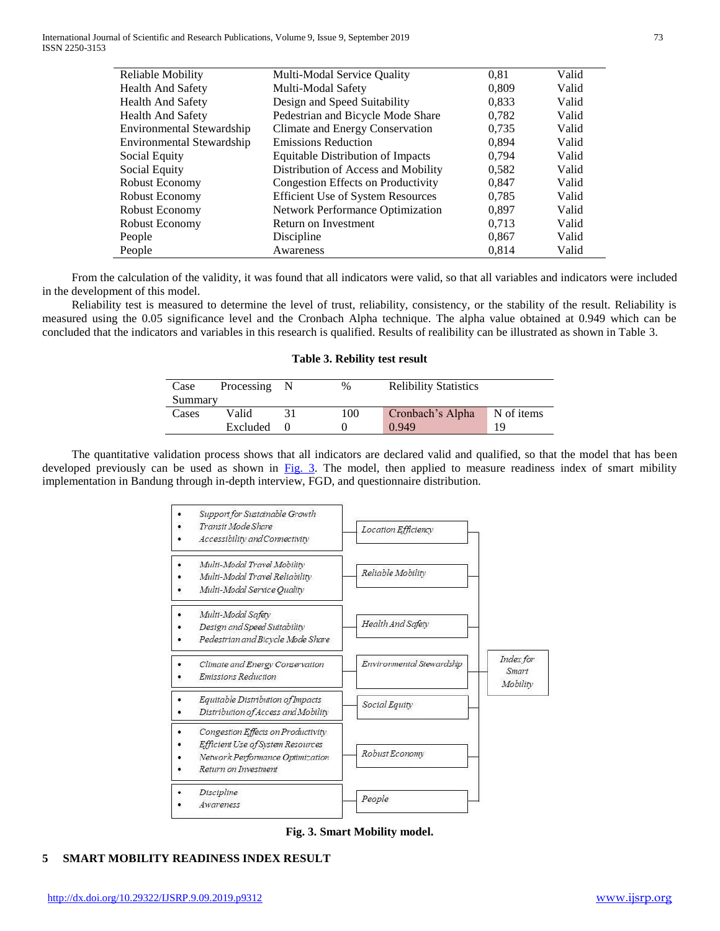International Journal of Scientific and Research Publications, Volume 9, Issue 9, September 2019 73 ISSN 2250-3153

| Reliable Mobility                | Multi-Modal Service Quality              | 0.81  | Valid |
|----------------------------------|------------------------------------------|-------|-------|
| <b>Health And Safety</b>         | Multi-Modal Safety                       | 0,809 | Valid |
| <b>Health And Safety</b>         | Design and Speed Suitability             | 0,833 | Valid |
| <b>Health And Safety</b>         | Pedestrian and Bicycle Mode Share        | 0,782 | Valid |
| Environmental Stewardship        | Climate and Energy Conservation          | 0,735 | Valid |
| <b>Environmental Stewardship</b> | <b>Emissions Reduction</b>               | 0.894 | Valid |
| Social Equity                    | Equitable Distribution of Impacts        | 0,794 | Valid |
| Social Equity                    | Distribution of Access and Mobility      | 0,582 | Valid |
| Robust Economy                   | Congestion Effects on Productivity       | 0,847 | Valid |
| Robust Economy                   | <b>Efficient Use of System Resources</b> | 0.785 | Valid |
| Robust Economy                   | Network Performance Optimization         | 0,897 | Valid |
| Robust Economy                   | Return on Investment                     | 0,713 | Valid |
| People                           | Discipline                               | 0,867 | Valid |
| People                           | Awareness                                | 0,814 | Valid |
|                                  |                                          |       |       |

 From the calculation of the validity, it was found that all indicators were valid, so that all variables and indicators were included in the development of this model.

 Reliability test is measured to determine the level of trust, reliability, consistency, or the stability of the result. Reliability is measured using the 0.05 significance level and the Cronbach Alpha technique. The alpha value obtained at 0.949 which can be concluded that the indicators and variables in this research is qualified. Results of realibility can be illustrated as shown in Table 3.

#### **Table 3. Rebility test result**

| Case    | Processing | %   | <b>Relibility Statistics</b> |            |
|---------|------------|-----|------------------------------|------------|
| Summary |            |     |                              |            |
| Cases   | Valid      | 100 | Cronbach's Alpha             | N of items |
|         | Excluded   |     | 0.949                        | 10         |

 The quantitative validation process shows that all indicators are declared valid and qualified, so that the model that has been developed previously can be used as shown in [Fig. 3.](file:///C:/Users/Taufik%20NHT/Downloads/Gambar/Slide3.JPG) The model, then applied to measure readiness index of smart mibility implementation in Bandung through in-depth interview, FGD, and questionnaire distribution.

| Support for Sustainable Growth<br>Transit Mode Share<br>Accessibility and Connectivity                                              | Location Efficiency       |                                |
|-------------------------------------------------------------------------------------------------------------------------------------|---------------------------|--------------------------------|
| Multi-Modal Travel Mobility<br>Multi-Modal Travel Reliability<br>Multi-Modal Service Ouality                                        | Reliable Mobility         |                                |
| Multi-Modal Safety<br>Design and Speed Suitability<br>Pedestrian and Bicycle Mode Share                                             | Health And Safety         |                                |
| Climate and Energy Conservation<br>Emissions Reduction                                                                              | Environmental Stewardship | Index for<br>Smart<br>Mobility |
| Equitable Distribution of Impacts<br>Distribution of Access and Mobility                                                            | Social Equity             |                                |
| Congestion Effects on Productivity<br>Efficient Use of System Resources<br>Network Performance Optimization<br>Return on Investment | Robust Economy            |                                |
| Discipline<br>Awareness                                                                                                             | People                    |                                |

**Fig. 3. Smart Mobility model.**

## **5 SMART MOBILITY READINESS INDEX RESULT**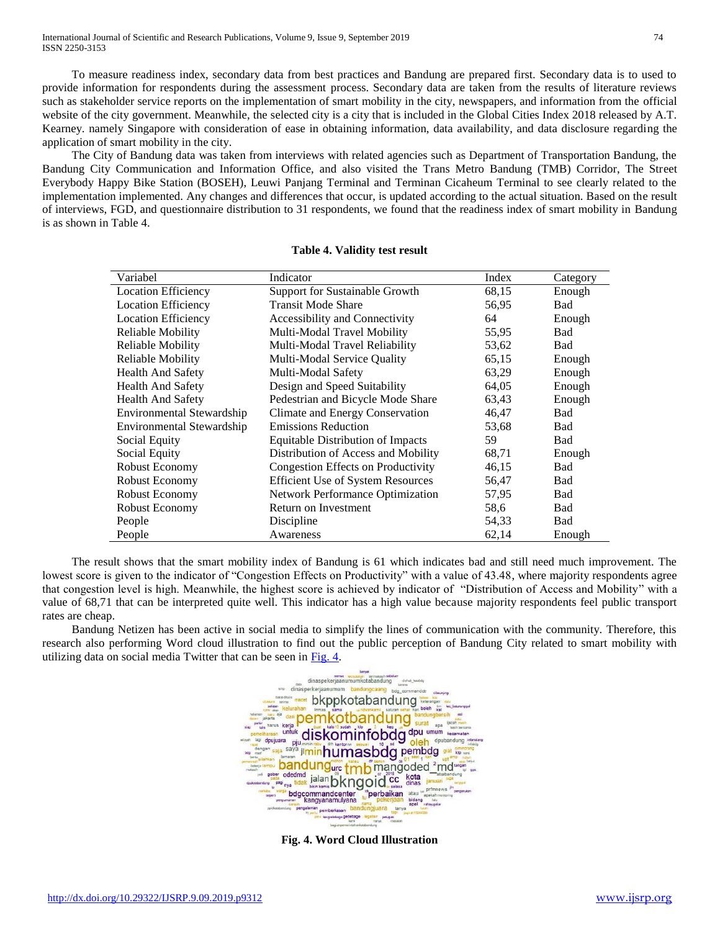International Journal of Scientific and Research Publications, Volume 9, Issue 9, September 2019 74 ISSN 2250-3153

 To measure readiness index, secondary data from best practices and Bandung are prepared first. Secondary data is to used to provide information for respondents during the assessment process. Secondary data are taken from the results of literature reviews such as stakeholder service reports on the implementation of smart mobility in the city, newspapers, and information from the official website of the city government. Meanwhile, the selected city is a city that is included in the Global Cities Index 2018 released by A.T. Kearney. namely Singapore with consideration of ease in obtaining information, data availability, and data disclosure regarding the application of smart mobility in the city.

 The City of Bandung data was taken from interviews with related agencies such as Department of Transportation Bandung, the Bandung City Communication and Information Office, and also visited the Trans Metro Bandung (TMB) Corridor, The Street Everybody Happy Bike Station (BOSEH), Leuwi Panjang Terminal and Terminan Cicaheum Terminal to see clearly related to the implementation implemented. Any changes and differences that occur, is updated according to the actual situation. Based on the result of interviews, FGD, and questionnaire distribution to 31 respondents, we found that the readiness index of smart mobility in Bandung is as shown in Table 4.

| Variabel                   | Indicator                                | Index | Category   |
|----------------------------|------------------------------------------|-------|------------|
| <b>Location Efficiency</b> | Support for Sustainable Growth           | 68,15 | Enough     |
| <b>Location Efficiency</b> | <b>Transit Mode Share</b>                | 56,95 | Bad        |
| <b>Location Efficiency</b> | Accessibility and Connectivity           | 64    | Enough     |
| Reliable Mobility          | Multi-Modal Travel Mobility              | 55,95 | Bad        |
| Reliable Mobility          | Multi-Modal Travel Reliability           | 53,62 | Bad        |
| Reliable Mobility          | Multi-Modal Service Quality              | 65,15 | Enough     |
| <b>Health And Safety</b>   | Multi-Modal Safety                       | 63,29 | Enough     |
| <b>Health And Safety</b>   | Design and Speed Suitability             | 64,05 | Enough     |
| <b>Health And Safety</b>   | Pedestrian and Bicycle Mode Share        | 63,43 | Enough     |
| Environmental Stewardship  | Climate and Energy Conservation          | 46,47 | <b>Bad</b> |
| Environmental Stewardship  | <b>Emissions Reduction</b>               | 53,68 | Bad        |
| Social Equity              | Equitable Distribution of Impacts        | 59    | Bad        |
| Social Equity              | Distribution of Access and Mobility      | 68,71 | Enough     |
| Robust Economy             | Congestion Effects on Productivity       | 46,15 | Bad        |
| Robust Economy             | <b>Efficient Use of System Resources</b> | 56,47 | Bad        |
| Robust Economy             | Network Performance Optimization         | 57,95 | Bad        |
| Robust Economy             | Return on Investment                     | 58,6  | Bad        |
| People                     | Discipline                               | 54,33 | Bad        |
| People                     | Awareness                                | 62,14 | Enough     |

#### **Table 4. Validity test result**

 The result shows that the smart mobility index of Bandung is 61 which indicates bad and still need much improvement. The lowest score is given to the indicator of "Congestion Effects on Productivity" with a value of 43.48, where majority respondents agree that congestion level is high. Meanwhile, the highest score is achieved by indicator of "Distribution of Access and Mobility" with a value of 68,71 that can be interpreted quite well. This indicator has a high value because majority respondents feel public transport rates are cheap.

 Bandung Netizen has been active in social media to simplify the lines of communication with the community. Therefore, this research also performing Word cloud illustration to find out the public perception of Bandung City related to smart mobility with utilizing data on social media Twitter that can be seen in [Fig. 4.](file:///C:/Users/Taufik%20NHT/Downloads/Gambar/Slide3.JPG)



**Fig. 4. Word Cloud Illustration**